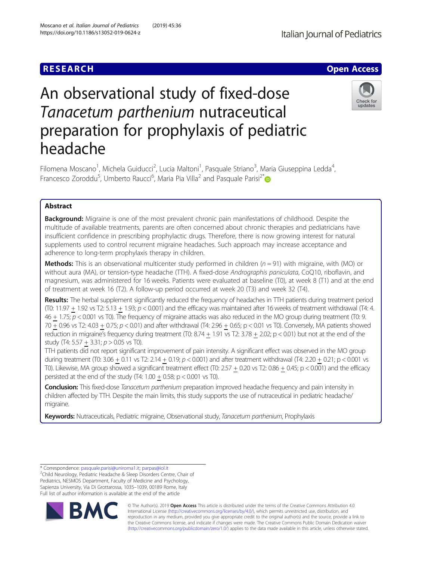# **RESEARCH CHE Open Access**

# An observational study of fixed-dose Tanacetum parthenium nutraceutical preparation for prophylaxis of pediatric headache



Filomena Moscano<sup>1</sup>, Michela Guiducci<sup>2</sup>, Lucia Maltoni<sup>1</sup>, Pasquale Striano<sup>3</sup>, Maria Giuseppina Ledda<sup>4</sup> , Francesco Zoroddu<sup>5</sup>, Umberto Raucci<sup>6</sup>, Maria Pia Villa<sup>2</sup> and Pasquale Parisi<sup>2[\\*](http://orcid.org/0000-0001-9042-8120)</sup>

## Abstract

**Background:** Migraine is one of the most prevalent chronic pain manifestations of childhood. Despite the multitude of available treatments, parents are often concerned about chronic therapies and pediatricians have insufficient confidence in prescribing prophylactic drugs. Therefore, there is now growing interest for natural supplements used to control recurrent migraine headaches. Such approach may increase acceptance and adherence to long-term prophylaxis therapy in children.

**Methods:** This is an observational multicenter study performed in children  $(n = 91)$  with migraine, with (MO) or without aura (MA), or tension-type headache (TTH). A fixed-dose Andrographis paniculata, CoQ10, riboflavin, and magnesium, was administered for 16 weeks. Patients were evaluated at baseline (T0), at week 8 (T1) and at the end of treatment at week 16 (T2). A follow-up period occurred at week 20 (T3) and week 32 (T4).

Results: The herbal supplement significantly reduced the frequency of headaches in TTH patients during treatment period (T0: 11.97 + 1.92 vs T2: 5.13 + 1.93;  $p < 0.001$ ) and the efficacy was maintained after 16 weeks of treatment withdrawal (T4: 4.  $46 + 1.75$ ;  $p < 0.001$  vs T0). The frequency of migraine attacks was also reduced in the MO group during treatment (T0: 9. 70 + 0.96 vs T2: 4.03 + 0.75; p < 0.01) and after withdrawal (T4: 2.96 + 0.65; p < 0.01 vs T0). Conversely, MA patients showed reduction in migraine's frequency during treatment (T0:  $8.74 + 1.91$  vs T2:  $3.78 + 2.02$ ; p < 0.01) but not at the end of the study (T4: 5.57 + 3.31;  $p > 0.05$  vs T0).

TTH patients did not report significant improvement of pain intensity. A significant effect was observed in the MO group during treatment (T0:  $3.06 + 0.11$  vs T2:  $2.14 + 0.19$ ;  $p < 0.001$ ) and after treatment withdrawal (T4:  $2.20 + 0.21$ ;  $p < 0.001$  vs T0). Likewise, MA group showed a significant treatment effect (T0:  $2.57 + 0.20$  vs T2:  $0.86 + 0.45$ ; p < 0.001) and the efficacy persisted at the end of the study  $(T4: 1.00 + 0.58; p < 0.001$  vs T0).

Conclusion: This fixed-dose Tanacetum parthenium preparation improved headache frequency and pain intensity in children affected by TTH. Despite the main limits, this study supports the use of nutraceutical in pediatric headache/ migraine.

Keywords: Nutraceuticals, Pediatric migraine, Observational study, Tanacetum parthenium, Prophylaxis

 $2$ Child Neurology, Pediatric Headache & Sleep Disorders Centre, Chair of Pediatrics, NESMOS Department, Faculty of Medicine and Psychology, Sapienza University, Via Di Grottarossa, 1035–1039, 00189 Rome, Italy Full list of author information is available at the end of the article



© The Author(s). 2019 Open Access This article is distributed under the terms of the Creative Commons Attribution 4.0 International License [\(http://creativecommons.org/licenses/by/4.0/](http://creativecommons.org/licenses/by/4.0/)), which permits unrestricted use, distribution, and reproduction in any medium, provided you give appropriate credit to the original author(s) and the source, provide a link to the Creative Commons license, and indicate if changes were made. The Creative Commons Public Domain Dedication waiver [\(http://creativecommons.org/publicdomain/zero/1.0/](http://creativecommons.org/publicdomain/zero/1.0/)) applies to the data made available in this article, unless otherwise stated.

<sup>\*</sup> Correspondence: [pasquale.parisi@uniroma1.it](mailto:pasquale.parisi@uniroma1.it); [parpas@iol.it](mailto:parpas@iol.it) <sup>2</sup>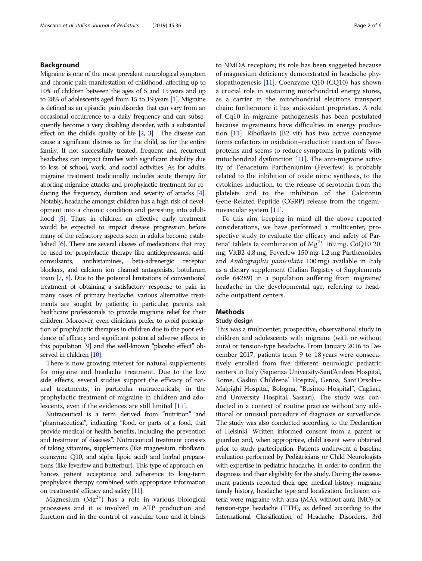### Background

Migraine is one of the most prevalent neurological symptom and chronic pain manifestation of childhood, affecting up to 10% of children between the ages of 5 and 15 years and up to 28% of adolescents aged from 15 to 19 years [\[1](#page-5-0)]. Migraine is defined as an episodic pain disorder that can vary from an occasional occurrence to a daily frequency and can subsequently become a very disabling disorder, with a substantial effect on the child's quality of life  $[2, 3]$  $[2, 3]$  $[2, 3]$ . The disease can cause a significant distress as for the child, as for the entire family. If not successfully treated, frequent and recurrent headaches can impact families with significant disability due to loss of school, work, and social activities. As for adults, migraine treatment traditionally includes acute therapy for aborting migraine attacks and prophylactic treatment for reducing the frequency, duration and severity of attacks [\[4\]](#page-5-0). Notably, headache amongst children has a high risk of development into a chronic condition and persisting into adulthood [\[5\]](#page-5-0). Thus, in children an effective early treatment would be expected to impact disease progression before many of the refractory aspects seen in adults become established [\[6\]](#page-5-0). There are several classes of medications that may be used for prophylactic therapy like antidepressants, anticonvulsants, antihistamines, beta-adrenergic receptor blockers, and calcium ion channel antagonists, botulinum toxin [\[7](#page-5-0), [8\]](#page-5-0). Due to the potential limitations of conventional treatment of obtaining a satisfactory response to pain in many cases of primary headache, various alternative treatments are sought by patients; in particular, parents ask healthcare professionals to provide migraine relief for their children. Moreover, even clinicians prefer to avoid prescription of prophylactic therapies in children due to the poor evidence of efficacy and significant potential adverse effects in this population [\[9](#page-5-0)] and the well-known "placebo effect" observed in children [[10\]](#page-5-0).

There is now growing interest for natural supplements for migraine and headache treatment. Due to the low side effects, several studies support the efficacy of natural treatments, in particular nutraceuticals, in the prophylactic treatment of migraine in children and adolescents, even if the evidences are still limited [[11\]](#page-5-0).

Nutraceutical is a term derived from "nutrition" and "pharmaceutical", indicating "food, or parts of a food, that provide medical or health benefits, including the prevention and treatment of diseases". Nutraceutical treatment consists of taking vitamins, supplements (like magnesium, riboflavin, coenzyme Q10, and alpha lipoic acid) and herbal preparations (like feverfew and butterbur). This type of approach enhances patient acceptance and adherence to long-term prophylaxis therapy combined with appropriate information on treatments' efficacy and safety [\[11\]](#page-5-0).

Magnesium  $(Mg<sup>2+</sup>)$  has a role in various biological processess and it is involved in ATP production and function and in the control of vascular tone and it binds to NMDA receptors; its role has been suggested because of magnesium deficiency demonstrated in headache physiopathogenesis [\[11\]](#page-5-0). Coenzyme Q10 (CQ10) has shown a crucial role in sustaining mitochondrial energy stores, as a carrier in the mitochondrial electrons transport chain; furthermore it has antioxidant proprieties. A role of Cq10 in migraine pathogenesis has been postulated because migraineurs have difficulties in energy production  $[11]$  $[11]$ . Riboflavin (B2 vit) has two active coenzyme forms cofactors in oxidation–reduction reaction of flavoproteins and seems to reduce symptoms in patients with mitochondrial dysfunction  $[11]$  $[11]$ . The anti-migraine activity of Tenacetum Partheniunim (Feverfew) is probably related to the inhibition of oxide nitric synthesis, to the cytokines induction, to the release of serotonin from the platelets and to the inhibition of the Calcitonin Gene-Related Peptide (CGRP) release from the trigeminovascular system [\[11\]](#page-5-0).

To this aim, keeping in mind all the above reported considerations, we have performed a multicenter, prospective study to evaluate the efficacy and safety of Partena<sup>®</sup> tablets (a combination of Mg<sup>2+</sup> 169 mg, CoQ10 20 mg, VitB2 4,8 mg, Feverfew 150 mg-1,2 mg Parthenolides and Andrographis paniculata 100 mg) available in Italy as a dietary supplement (Italian Registry of Supplements code 64289) in a population suffering from migraine/ headache in the developmental age, referring to headache outpatient centers.

#### Methods

#### Study design

This was a multicenter, prospective, observational study in children and adolescents with migraine (with or without aura) or tension-type headache. From January 2016 to December 2017, patients from 9 to 18 years were consecutively enrolled from five different neurologic pediatric centers in Italy (Sapienza University-Sant'Andrea Hospital, Rome, Gaslini Childrens' Hospital, Genoa, Sant'Orsola-- Malpighi Hospital, Bologna, "Businco Hospital", Cagliari, and University Hospital, Sassari). The study was conducted in a context of routine practice without any additional or unusual procedure of diagnosis or surveillance. The study was also conducted according to the Declaration of Helsinki. Written informed consent from a parent or guardian and, when appropriate, child assent were obtained prior to study partecipation. Patients underwent a baseline evaluation performed by Pediatricians or Child Neurologists with expertise in pediatric headache, in order to confirm the diagnosis and their eligibility for the study. During the assessment patients reported their age, medical history, migraine family history, headache type and localization. Inclusion criteria were migraine with aura (MA), without aura (MO) or tension-type headache (TTH), as defined according to the International Classification of Headache Disorders, 3rd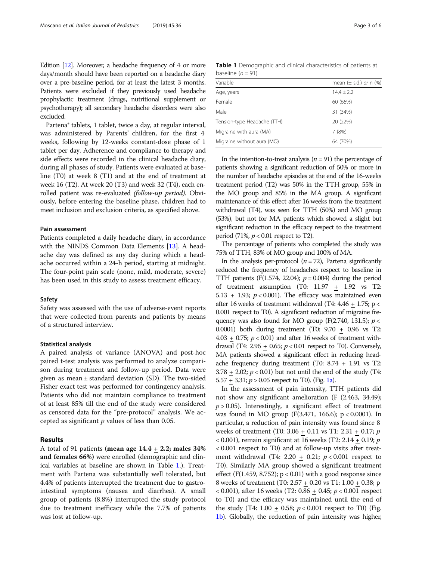Edition [\[12](#page-5-0)]. Moreover, a headache frequency of 4 or more days/month should have been reported on a headache diary over a pre-baseline period, for at least the latest 3 months. Patients were excluded if they previously used headache prophylactic treatment (drugs, nutritional supplement or psychotherapy); all secondary headache disorders were also excluded.

Partena® tablets, 1 tablet, twice a day, at regular interval, was administered by Parents' children, for the first 4 weeks, following by 12-weeks constant-dose phase of 1 tablet per day. Adherence and compliance to therapy and side effects were recorded in the clinical headache diary, during all phases of study. Patients were evaluated at baseline (T0) at week 8 (T1) and at the end of treatment at week 16 (T2). At week 20 (T3) and week 32 (T4), each enrolled patient was re-evaluated (follow-up period). Obviously, before entering the baseline phase, children had to meet inclusion and exclusion criteria, as specified above.

#### Pain assessment

Patients completed a daily headache diary, in accordance with the NINDS Common Data Elements [\[13](#page-5-0)]. A headache day was defined as any day during which a headache occurred within a 24-h period, starting at midnight. The four-point pain scale (none, mild, moderate, severe) has been used in this study to assess treatment efficacy.

#### Safety

Safety was assessed with the use of adverse-event reports that were collected from parents and patients by means of a structured interview.

#### Statistical analysis

A paired analysis of variance (ANOVA) and post-hoc paired t-test analysis was performed to analyze comparison during treatment and follow-up period. Data were given as mean ± standard deviation (SD). The two-sided Fisher exact test was performed for contingency analysis. Patients who did not maintain compliance to treatment of at least 85% till the end of the study were considered as censored data for the "pre-protocol" analysis. We accepted as significant  $p$  values of less than 0.05.

#### Results

A total of 91 patients (mean age  $14.4 \pm 2.2$ ; males 34% and females 66%) were enrolled (demographic and clinical variables at baseline are shown in Table 1.). Treatment with Partena was substantially well tolerated, but 4.4% of patients interrupted the treatment due to gastrointestinal symptoms (nausea and diarrhea). A small group of patients (8.8%) interrupted the study protocol due to treatment inefficacy while the 7.7% of patients was lost at follow-up.

Table 1 Demographic and clinical characteristics of patients at baseline  $(n = 91)$ 

| Variable                    | mean $(\pm$ s.d.) or n $(\%)$ |
|-----------------------------|-------------------------------|
| Age, years                  | $14,4 \pm 2,2$                |
| Female                      | 60 (66%)                      |
| Male                        | 31 (34%)                      |
| Tension-type Headache (TTH) | 20 (22%)                      |
| Migraine with aura (MA)     | 7(8%)                         |
| Migraine without aura (MO)  | 64 (70%)                      |

In the intention-to-treat analysis  $(n = 91)$  the percentage of patients showing a significant reduction of 50% or more in the number of headache episodes at the end of the 16-weeks treatment period (T2) was 50% in the TTH group, 55% in the MO group and 85% in the MA group. A significant maintenance of this effect after 16 weeks from the treatment withdrawal (T4), was seen for TTH (50%) and MO group (53%), but not for MA patients which showed a slight but significant reduction in the efficacy respect to the treatment period (71%,  $p < 0.01$  respect to T2).

The percentage of patients who completed the study was 75% of TTH, 83% of MO group and 100% of MA.

In the analysis per-protocol  $(n = 72)$ , Partena significantly reduced the frequency of headaches respect to baseline in TTH patients (F(1.574, 22.04);  $p = 0.004$ ) during the period of treatment assumption (T0: 11.97 + 1.92 vs T2: 5.13 + 1.93;  $p < 0.001$ ). The efficacy was maintained even after 16 weeks of treatment withdrawal (T4:  $4.46 + 1.75$ ; p < 0.001 respect to T0). A significant reduction of migraine frequency was also found for MO group (F(2.740, 131.5);  $p <$ 0.0001) both during treatment (T0: 9.70 + 0.96 vs T2:  $4.03 + 0.75$ ;  $p < 0.01$ ) and after 16 weeks of treatment withdrawal (T4: 2.96 + 0.65;  $p < 0.01$  respect to T0). Conversely, MA patients showed a significant effect in reducing headache frequency during treatment (T0: 8.74 + 1.91 vs T2:  $3.78 + 2.02$ ;  $p < 0.01$ ) but not until the end of the study (T4: 5.57 + 3.31;  $p > 0.05$  respect to T0). (Fig. [1a](#page-3-0)).

In the assessment of pain intensity, TTH patients did not show any significant amelioration (F (2.463, 34.49);  $p > 0.05$ ). Interestingly, a significant effect of treatment was found in MO group (F(3.471, 166.6); p < 0.0001). In particular, a reduction of pain intensity was found since 8 weeks of treatment (T0: 3.06 + 0.11 vs T1: 2.31 + 0.17; p < 0.001), remain significant at 16 weeks (T2:  $2.14 + 0.19$ ;  $p$ < 0.001 respect to T0) and at follow-up visits after treatment withdrawal (T4: 2.20 + 0.21;  $p < 0.001$  respect to T0). Similarly MA group showed a significant treatment effect (F(1.459, 8.752);  $p < 0.01$ ) with a good response since 8 weeks of treatment (T0: 2.57  $\pm$  0.20 vs T1: 1.00  $\pm$  0.38; p  $(0.001)$ , after 16 weeks (T2: 0.86  $+$  0.45;  $p < 0.001$  respect to T0) and the efficacy was maintained until the end of the study (T4:  $1.00 + 0.58$ ;  $p < 0.001$  respect to T0) (Fig. [1b\)](#page-3-0). Globally, the reduction of pain intensity was higher,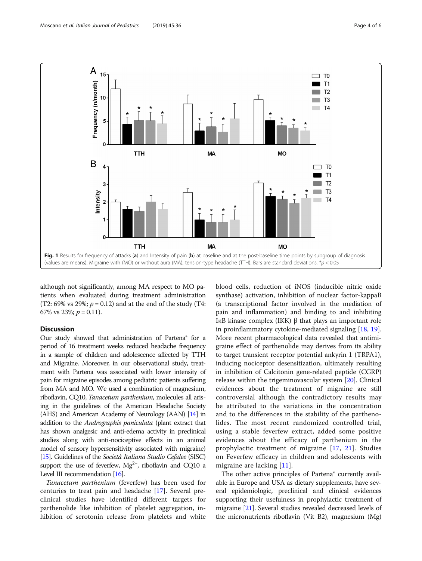<span id="page-3-0"></span>

although not significantly, among MA respect to MO patients when evaluated during treatment administration (T2: 69% vs 29%;  $p = 0.12$ ) and at the end of the study (T4: 67% vs 23%;  $p = 0.11$ ).

### **Discussion**

Our study showed that administration of Partena® for a period of 16 treatment weeks reduced headache frequency in a sample of children and adolescence affected by TTH and Migraine. Moreover, in our observational study, treatment with Partena was associated with lower intensity of pain for migraine episodes among pediatric patients suffering from MA and MO. We used a combination of magnesium, riboflavin, CQ10, Tanacetum parthenium, molecules all arising in the guidelines of the American Headache Society (AHS) and American Academy of Neurology (AAN) [[14\]](#page-5-0) in addition to the Andrographis paniculata (plant extract that has shown analgesic and anti-edema activity in preclinical studies along with anti-nociceptive effects in an animal model of sensory hypersensitivity associated with migraine) [[15\]](#page-5-0). Guidelines of the Società Italiana Studio Cefalee (SISC) support the use of feverfew,  $Mg^{2+}$ , riboflavin and CQ10 a Level III recommendation [\[16](#page-5-0)].

Tanacetum parthenium (feverfew) has been used for centuries to treat pain and headache [[17\]](#page-5-0). Several preclinical studies have identified different targets for parthenolide like inhibition of platelet aggregation, inhibition of serotonin release from platelets and white

blood cells, reduction of iNOS (inducible nitric oxide synthase) activation, inhibition of nuclear factor-kappaB (a transcriptional factor involved in the mediation of pain and inflammation) and binding to and inhibiting IκB kinase complex (IKK) β that plays an important role in proinflammatory cytokine-mediated signaling [\[18](#page-5-0), [19](#page-5-0)]. More recent pharmacological data revealed that antimigraine effect of parthenolide may derives from its ability to target transient receptor potential ankyrin 1 (TRPA1), inducing nociceptor desensitization, ultimately resulting in inhibition of Calcitonin gene-related peptide (CGRP) release within the trigeminovascular system [\[20](#page-5-0)]. Clinical evidences about the treatment of migraine are still controversial although the contradictory results may be attributed to the variations in the concentration and to the differences in the stability of the parthenolides. The most recent randomized controlled trial, using a stable feverfew extract, added some positive evidences about the efficacy of parthenium in the prophylactic treatment of migraine [[17](#page-5-0), [21](#page-5-0)]. Studies on Feverfew efficacy in children and adolescents with migraine are lacking [[11\]](#page-5-0).

The other active principles of Partena® currently available in Europe and USA as dietary supplements, have several epidemiologic, preclinical and clinical evidences supporting their usefulness in prophylactic treatment of migraine [\[21\]](#page-5-0). Several studies revealed decreased levels of the micronutrients riboflavin (Vit B2), magnesium (Mg)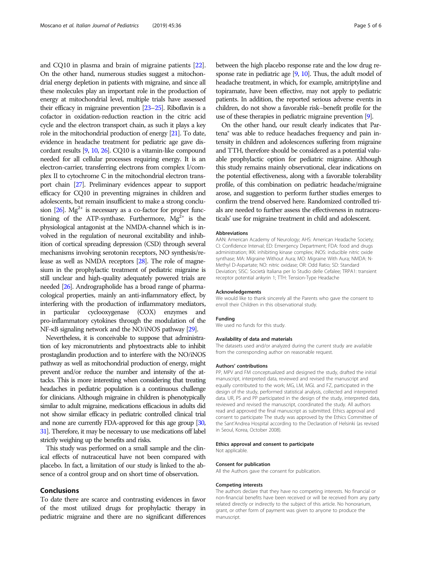and CQ10 in plasma and brain of migraine patients [[22](#page-5-0)]. On the other hand, numerous studies suggest a mitochondrial energy depletion in patients with migraine, and since all these molecules play an important role in the production of energy at mitochondrial level, multiple trials have assessed their efficacy in migraine prevention [[23](#page-5-0)–[25\]](#page-5-0). Riboflavin is a cofactor in oxidation-reduction reaction in the citric acid cycle and the electron transport chain, as such it plays a key role in the mitochondrial production of energy [\[21](#page-5-0)]. To date, evidence in headache treatment for pediatric age gave discordant results [\[9,](#page-5-0) [10,](#page-5-0) [26\]](#page-5-0). CQ10 is a vitamin-like compound needed for all cellular processes requiring energy. It is an electron-carrier, transferring electrons from complex I/complex II to cytochrome C in the mitochondrial electron transport chain [[27\]](#page-5-0). Preliminary evidences appear to support efficacy for CQ10 in preventing migraines in children and adolescents, but remain insufficient to make a strong conclusion  $[26]$  $[26]$ . Mg<sup>2+</sup> is necessary as a co-factor for proper functioning of the ATP-synthase. Furthermore,  $Mg^{2+}$  is the physiological antagonist at the NMDA-channel which is involved in the regulation of neuronal excitability and inhibition of cortical spreading depression (CSD) through several mechanisms involving serotonin receptors, NO synthesis/release as well as NMDA receptors [\[28\]](#page-5-0). The role of magnesium in the prophylactic treatment of pediatric migraine is still unclear and high-quality adequately powered trials are needed [\[26](#page-5-0)]. Andrographolide has a broad range of pharmacological properties, mainly an anti-inflammatory effect, by interfering with the production of inflammatory mediators, in particular cyclooxygenase (COX) enzymes and pro-inflammatory cytokines through the modulation of the NF-κB signaling network and the NO/iNOS pathway [\[29](#page-5-0)].

Nevertheless, it is conceivable to suppose that administration of key micronutrients and phytoextracts able to inhibit prostaglandin production and to interfere with the NO/iNOS pathway as well as mitochondrial production of energy, might prevent and/or reduce the number and intensity of the attacks. This is more interesting when considering that treating headaches in pediatric population is a continuous challenge for clinicians. Although migraine in children is phenotypically similar to adult migraine, medications efficacious in adults did not show similar efficacy in pediatric controlled clinical trial and none are currently FDA-approved for this age group [\[30](#page-5-0), [31\]](#page-5-0). Therefore, it may be necessary to use medications off label strictly weighing up the benefits and risks.

This study was performed on a small sample and the clinical effects of nutraceutical have not been compared with placebo. In fact, a limitation of our study is linked to the absence of a control group and on short time of observation.

#### Conclusions

To date there are scarce and contrasting evidences in favor of the most utilized drugs for prophylactic therapy in pediatric migraine and there are no significant differences between the high placebo response rate and the low drug response rate in pediatric age  $[9, 10]$  $[9, 10]$  $[9, 10]$  $[9, 10]$ . Thus, the adult model of headache treatment, in which, for example, amitriptyline and topiramate, have been effective, may not apply to pediatric patients. In addition, the reported serious adverse events in children, do not show a favorable risk–benefit profile for the use of these therapies in pediatric migraine prevention [[9](#page-5-0)].

On the other hand, our result clearly indicates that Partena® was able to reduce headaches frequency and pain intensity in children and adolescences suffering from migraine and TTH, therefore should be considered as a potential valuable prophylactic option for pediatric migraine. Although this study remains mainly observational, clear indications on the potential effectiveness, along with a favorable tolerability profile, of this combination on pediatric headache/migraine arose, and suggestion to perform further studies emerges to confirm the trend observed here. Randomized controlled trials are needed to further assess the effectiveness in nutraceuticals' use for migraine treatment in child and adolescent.

#### Abbreviations

AAN: American Academy of Neurology; AHS: American Headache Society; CI: Confidence Interval; ED: Emergency Department; FDA: food and drugs administration; IKK: inhibiting kinase complex; iNOS: inducible nitric oxide synthase; MA: Migraine Without Aura; MO: Migraine With Aura; NMDA: N-Methyl D-Aspartate; NO: nitric oxidase; OR: Odd Ratio; SD: Standard Deviation; SISC: Società Italiana per lo Studio delle Cefalee; TRPA1: transient receptor potential ankyrin 1; TTH: Tension-Type Headache

#### Acknowledgements

We would like to thank sincerely all the Parents who gave the consent to enroll their Children in this observational study.

#### Funding

We used no funds for this study.

#### Availability of data and materials

The datasets used and/or analyzed during the current study are available from the corresponding author on reasonable request.

#### Authors' contributions

PP, MPV and FM conceptualized and designed the study, drafted the initial manuscript, interpreted data, reviewed and revised the manuscript and equally contributed to the work; MG, LM, MGL and FZ, participated in the design of the study, performed statistical analysis, collected and interpreted data. UR, PS and PP participated in the design of the study, interpreted data, reviewed and revised the manuscript, coordinated the study. All authors read and approved the final manuscript as submitted. Ethics approval and consent to participate The study was approved by the Ethics Committee of the Sant'Andrea Hospital according to the Declaration of Helsinki (as revised in Seoul, Korea, October 2008).

#### Ethics approval and consent to participate

Not applicable.

#### Consent for publication

All the Authors gave the consent for publication.

#### Competing interests

The authors declare that they have no competing interests. No financial or non-financial benefits have been received or will be received from any party related directly or indirectly to the subject of this article. No honorarium, grant, or other form of payment was given to anyone to produce the manuscript.